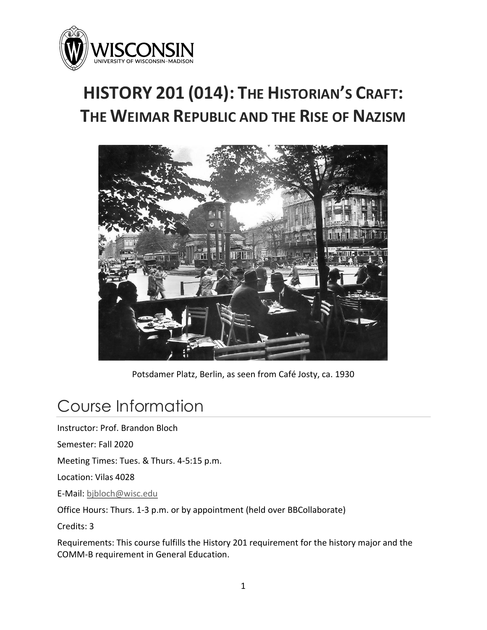

# **HISTORY 201 (014): THE HISTORIAN'S CRAFT: THE WEIMAR REPUBLIC AND THE RISE OF NAZISM**



Potsdamer Platz, Berlin, as seen from Café Josty, ca. 1930

# Course Information

Instructor: Prof. Brandon Bloch

Semester: Fall 2020

Meeting Times: Tues. & Thurs. 4-5:15 p.m.

Location: Vilas 4028

E-Mail: [bjbloch@wisc.edu](mailto:bjbloch@wisc.edu)

Office Hours: Thurs. 1-3 p.m. or by appointment (held over BBCollaborate)

Credits: 3

Requirements: This course fulfills the History 201 requirement for the history major and the COMM-B requirement in General Education.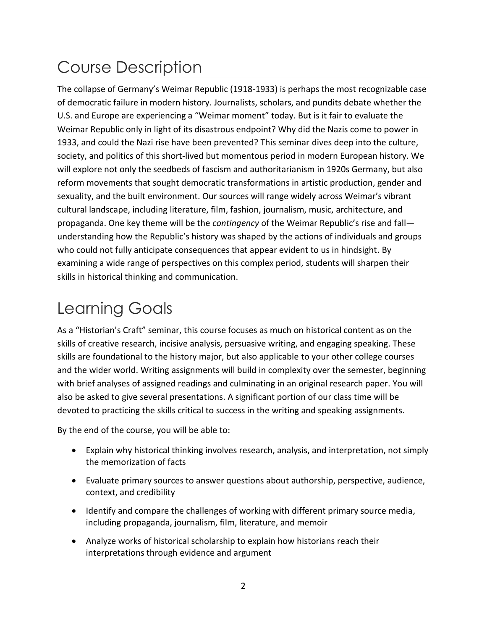# Course Description

The collapse of Germany's Weimar Republic (1918-1933) is perhaps the most recognizable case of democratic failure in modern history. Journalists, scholars, and pundits debate whether the U.S. and Europe are experiencing a "Weimar moment" today. But is it fair to evaluate the Weimar Republic only in light of its disastrous endpoint? Why did the Nazis come to power in 1933, and could the Nazi rise have been prevented? This seminar dives deep into the culture, society, and politics of this short-lived but momentous period in modern European history. We will explore not only the seedbeds of fascism and authoritarianism in 1920s Germany, but also reform movements that sought democratic transformations in artistic production, gender and sexuality, and the built environment. Our sources will range widely across Weimar's vibrant cultural landscape, including literature, film, fashion, journalism, music, architecture, and propaganda. One key theme will be the *contingency* of the Weimar Republic's rise and fall understanding how the Republic's history was shaped by the actions of individuals and groups who could not fully anticipate consequences that appear evident to us in hindsight. By examining a wide range of perspectives on this complex period, students will sharpen their skills in historical thinking and communication.

# Learning Goals

As a "Historian's Craft" seminar, this course focuses as much on historical content as on the skills of creative research, incisive analysis, persuasive writing, and engaging speaking. These skills are foundational to the history major, but also applicable to your other college courses and the wider world. Writing assignments will build in complexity over the semester, beginning with brief analyses of assigned readings and culminating in an original research paper. You will also be asked to give several presentations. A significant portion of our class time will be devoted to practicing the skills critical to success in the writing and speaking assignments.

By the end of the course, you will be able to:

- Explain why historical thinking involves research, analysis, and interpretation, not simply the memorization of facts
- Evaluate primary sources to answer questions about authorship, perspective, audience, context, and credibility
- Identify and compare the challenges of working with different primary source media, including propaganda, journalism, film, literature, and memoir
- Analyze works of historical scholarship to explain how historians reach their interpretations through evidence and argument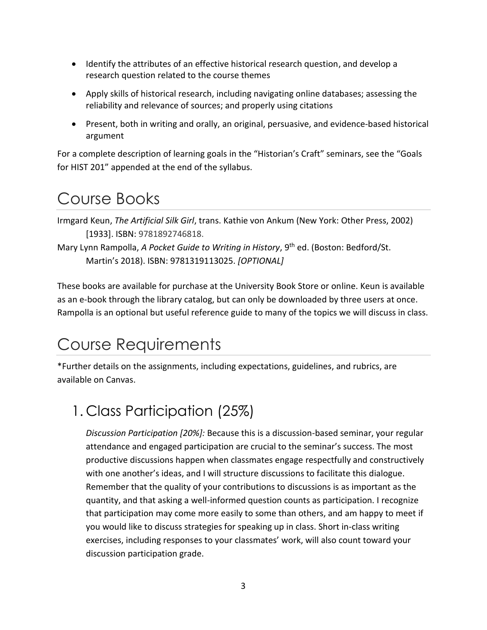- Identify the attributes of an effective historical research question, and develop a research question related to the course themes
- Apply skills of historical research, including navigating online databases; assessing the reliability and relevance of sources; and properly using citations
- Present, both in writing and orally, an original, persuasive, and evidence-based historical argument

For a complete description of learning goals in the "Historian's Craft" seminars, see the "Goals for HIST 201" appended at the end of the syllabus.

# Course Books

Irmgard Keun, *The Artificial Silk Girl*, trans. Kathie von Ankum (New York: Other Press, 2002) [1933]. ISBN: 9781892746818.

Mary Lynn Rampolla, *A Pocket Guide to Writing in History*, 9th ed. (Boston: Bedford/St. Martin's 2018). ISBN: 9781319113025. *[OPTIONAL]*

These books are available for purchase at the University Book Store or online. Keun is available as an e-book through the library catalog, but can only be downloaded by three users at once. Rampolla is an optional but useful reference guide to many of the topics we will discuss in class.

# Course Requirements

\*Further details on the assignments, including expectations, guidelines, and rubrics, are available on Canvas.

## 1. Class Participation (25%)

*Discussion Participation [20%]:* Because this is a discussion-based seminar, your regular attendance and engaged participation are crucial to the seminar's success. The most productive discussions happen when classmates engage respectfully and constructively with one another's ideas, and I will structure discussions to facilitate this dialogue. Remember that the quality of your contributions to discussions is as important as the quantity, and that asking a well-informed question counts as participation. I recognize that participation may come more easily to some than others, and am happy to meet if you would like to discuss strategies for speaking up in class. Short in-class writing exercises, including responses to your classmates' work, will also count toward your discussion participation grade.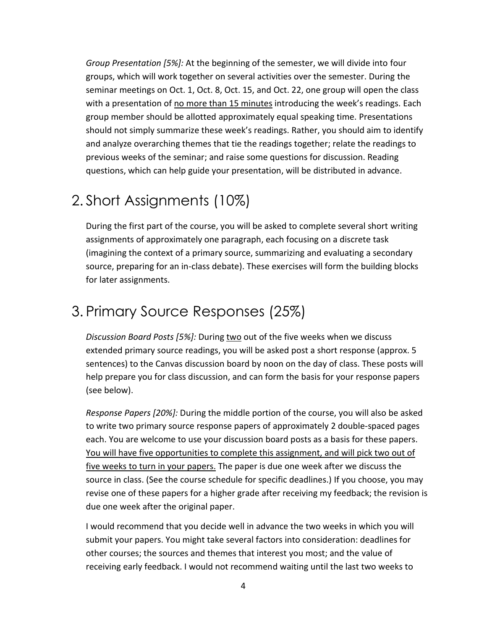*Group Presentation [5%]:* At the beginning of the semester, we will divide into four groups, which will work together on several activities over the semester. During the seminar meetings on Oct. 1, Oct. 8, Oct. 15, and Oct. 22, one group will open the class with a presentation of <u>no more than 15 minutes</u> introducing the week's readings. Each group member should be allotted approximately equal speaking time. Presentations should not simply summarize these week's readings. Rather, you should aim to identify and analyze overarching themes that tie the readings together; relate the readings to previous weeks of the seminar; and raise some questions for discussion. Reading questions, which can help guide your presentation, will be distributed in advance.

### 2. Short Assignments (10%)

During the first part of the course, you will be asked to complete several short writing assignments of approximately one paragraph, each focusing on a discrete task (imagining the context of a primary source, summarizing and evaluating a secondary source, preparing for an in-class debate). These exercises will form the building blocks for later assignments.

### 3. Primary Source Responses (25%)

*Discussion Board Posts [5%]:* During two out of the five weeks when we discuss extended primary source readings, you will be asked post a short response (approx. 5 sentences) to the Canvas discussion board by noon on the day of class. These posts will help prepare you for class discussion, and can form the basis for your response papers (see below).

*Response Papers [20%]:* During the middle portion of the course, you will also be asked to write two primary source response papers of approximately 2 double-spaced pages each. You are welcome to use your discussion board posts as a basis for these papers. You will have five opportunities to complete this assignment, and will pick two out of five weeks to turn in your papers. The paper is due one week after we discuss the source in class. (See the course schedule for specific deadlines.) If you choose, you may revise one of these papers for a higher grade after receiving my feedback; the revision is due one week after the original paper.

I would recommend that you decide well in advance the two weeks in which you will submit your papers. You might take several factors into consideration: deadlines for other courses; the sources and themes that interest you most; and the value of receiving early feedback. I would not recommend waiting until the last two weeks to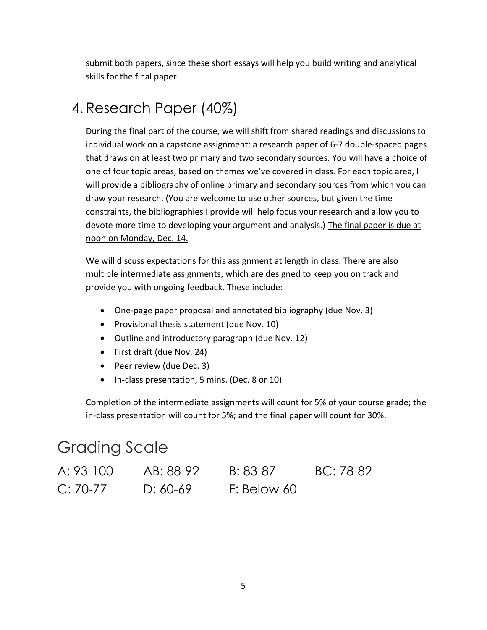submit both papers, since these short essays will help you build writing and analytical skills for the final paper.

### 4. Research Paper (40%)

During the final part of the course, we will shift from shared readings and discussions to individual work on a capstone assignment: a research paper of 6-7 double-spaced pages that draws on at least two primary and two secondary sources. You will have a choice of one of four topic areas, based on themes we've covered in class. For each topic area, I will provide a bibliography of online primary and secondary sources from which you can draw your research. (You are welcome to use other sources, but given the time constraints, the bibliographies I provide will help focus your research and allow you to devote more time to developing your argument and analysis.) The final paper is due at noon on Monday, Dec. 14.

We will discuss expectations for this assignment at length in class. There are also multiple intermediate assignments, which are designed to keep you on track and provide you with ongoing feedback. These include:

- One-page paper proposal and annotated bibliography (due Nov. 3)
- Provisional thesis statement (due Nov. 10)
- Outline and introductory paragraph (due Nov. 12)
- First draft (due Nov. 24)
- Peer review (due Dec. 3)
- In-class presentation, 5 mins. (Dec. 8 or 10)

Completion of the intermediate assignments will count for 5% of your course grade; the in-class presentation will count for 5%; and the final paper will count for 30%.

### Grading Scale

| A: 93-100  | AB: 88-92  | B: 83-87    | BC: 78-82 |
|------------|------------|-------------|-----------|
| $C: 70-77$ | $D: 60-69$ | F: Below 60 |           |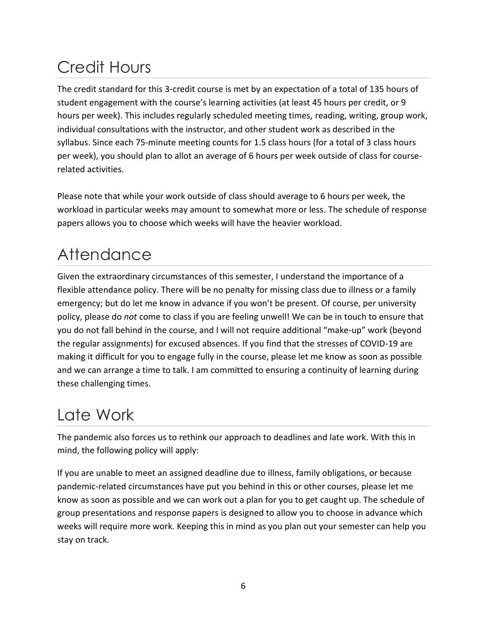# Credit Hours

The credit standard for this 3-credit course is met by an expectation of a total of 135 hours of student engagement with the course's learning activities (at least 45 hours per credit, or 9 hours per week). This includes regularly scheduled meeting times, reading, writing, group work, individual consultations with the instructor, and other student work as described in the syllabus. Since each 75-minute meeting counts for 1.5 class hours (for a total of 3 class hours per week), you should plan to allot an average of 6 hours per week outside of class for courserelated activities.

Please note that while your work outside of class should average to 6 hours per week, the workload in particular weeks may amount to somewhat more or less. The schedule of response papers allows you to choose which weeks will have the heavier workload.

# **Attendance**

Given the extraordinary circumstances of this semester, I understand the importance of a flexible attendance policy. There will be no penalty for missing class due to illness or a family emergency; but do let me know in advance if you won't be present. Of course, per university policy, please do *not* come to class if you are feeling unwell! We can be in touch to ensure that you do not fall behind in the course, and I will not require additional "make-up" work (beyond the regular assignments) for excused absences. If you find that the stresses of COVID-19 are making it difficult for you to engage fully in the course, please let me know as soon as possible and we can arrange a time to talk. I am committed to ensuring a continuity of learning during these challenging times.

# Late Work

The pandemic also forces us to rethink our approach to deadlines and late work. With this in mind, the following policy will apply:

If you are unable to meet an assigned deadline due to illness, family obligations, or because pandemic-related circumstances have put you behind in this or other courses, please let me know as soon as possible and we can work out a plan for you to get caught up. The schedule of group presentations and response papers is designed to allow you to choose in advance which weeks will require more work. Keeping this in mind as you plan out your semester can help you stay on track.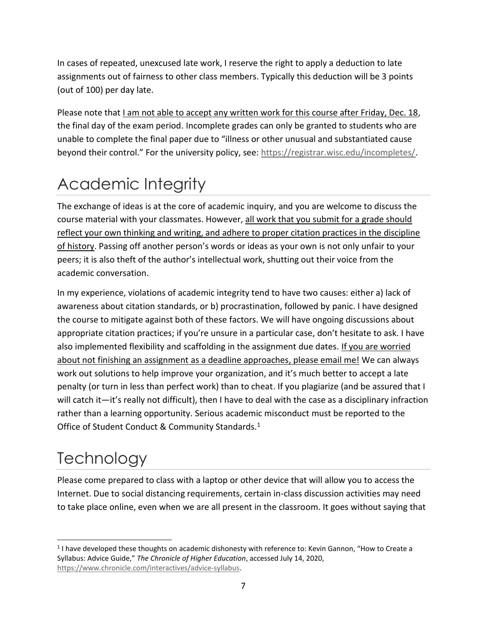In cases of repeated, unexcused late work, I reserve the right to apply a deduction to late assignments out of fairness to other class members. Typically this deduction will be 3 points (out of 100) per day late.

Please note that I am not able to accept any written work for this course after Friday, Dec. 18, the final day of the exam period. Incomplete grades can only be granted to students who are unable to complete the final paper due to "illness or other unusual and substantiated cause beyond their control." For the university policy, see: [https://registrar.wisc.edu/incompletes/.](https://registrar.wisc.edu/incompletes/)

# Academic Integrity

The exchange of ideas is at the core of academic inquiry, and you are welcome to discuss the course material with your classmates. However, all work that you submit for a grade should reflect your own thinking and writing, and adhere to proper citation practices in the discipline of history. Passing off another person's words or ideas as your own is not only unfair to your peers; it is also theft of the author's intellectual work, shutting out their voice from the academic conversation.

In my experience, violations of academic integrity tend to have two causes: either a) lack of awareness about citation standards, or b) procrastination, followed by panic. I have designed the course to mitigate against both of these factors. We will have ongoing discussions about appropriate citation practices; if you're unsure in a particular case, don't hesitate to ask. I have also implemented flexibility and scaffolding in the assignment due dates. If you are worried about not finishing an assignment as a deadline approaches, please email me! We can always work out solutions to help improve your organization, and it's much better to accept a late penalty (or turn in less than perfect work) than to cheat. If you plagiarize (and be assured that I will catch it—it's really not difficult), then I have to deal with the case as a disciplinary infraction rather than a learning opportunity. Serious academic misconduct must be reported to the Office of Student Conduct & Community Standards.<sup>1</sup>

# **Technology**

Please come prepared to class with a laptop or other device that will allow you to access the Internet. Due to social distancing requirements, certain in-class discussion activities may need to take place online, even when we are all present in the classroom. It goes without saying that

<sup>&</sup>lt;sup>1</sup> I have developed these thoughts on academic dishonesty with reference to: Kevin Gannon, "How to Create a Syllabus: Advice Guide," *The Chronicle of Higher Education*, accessed July 14, 2020, [https://www.chronicle.com/interactives/advice-syllabus.](https://www.chronicle.com/interactives/advice-syllabus)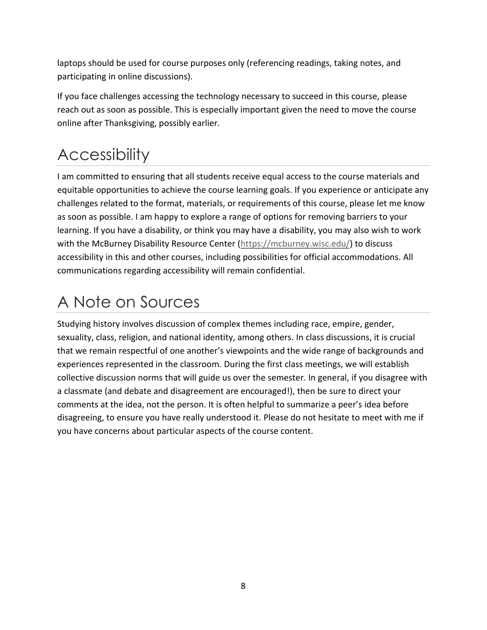laptops should be used for course purposes only (referencing readings, taking notes, and participating in online discussions).

If you face challenges accessing the technology necessary to succeed in this course, please reach out as soon as possible. This is especially important given the need to move the course online after Thanksgiving, possibly earlier.

# **Accessibility**

I am committed to ensuring that all students receive equal access to the course materials and equitable opportunities to achieve the course learning goals. If you experience or anticipate any challenges related to the format, materials, or requirements of this course, please let me know as soon as possible. I am happy to explore a range of options for removing barriers to your learning. If you have a disability, or think you may have a disability, you may also wish to work with the McBurney Disability Resource Center [\(https://mcburney.wisc.edu/\)](https://mcburney.wisc.edu/) to discuss accessibility in this and other courses, including possibilities for official accommodations. All communications regarding accessibility will remain confidential.

# A Note on Sources

Studying history involves discussion of complex themes including race, empire, gender, sexuality, class, religion, and national identity, among others. In class discussions, it is crucial that we remain respectful of one another's viewpoints and the wide range of backgrounds and experiences represented in the classroom. During the first class meetings, we will establish collective discussion norms that will guide us over the semester. In general, if you disagree with a classmate (and debate and disagreement are encouraged!), then be sure to direct your comments at the idea, not the person. It is often helpful to summarize a peer's idea before disagreeing, to ensure you have really understood it. Please do not hesitate to meet with me if you have concerns about particular aspects of the course content.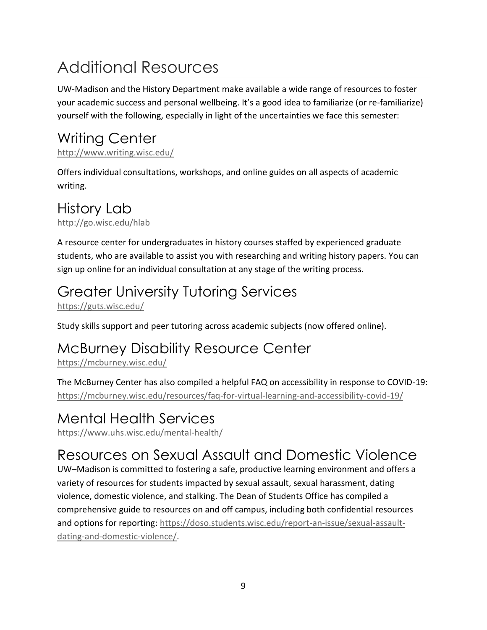# Additional Resources

UW-Madison and the History Department make available a wide range of resources to foster your academic success and personal wellbeing. It's a good idea to familiarize (or re-familiarize) yourself with the following, especially in light of the uncertainties we face this semester:

# Writing Center

<http://www.writing.wisc.edu/>

Offers individual consultations, workshops, and online guides on all aspects of academic writing.

## History Lab

<http://go.wisc.edu/hlab>

A resource center for undergraduates in history courses staffed by experienced graduate students, who are available to assist you with researching and writing history papers. You can sign up online for an individual consultation at any stage of the writing process.

# Greater University Tutoring Services

<https://guts.wisc.edu/>

Study skills support and peer tutoring across academic subjects (now offered online).

### McBurney Disability Resource Center

<https://mcburney.wisc.edu/>

The McBurney Center has also compiled a helpful FAQ on accessibility in response to COVID-19: [https://mcburney.wisc.edu/resources/faq-for-virtual-learning-and-accessibility-covid-19/](https://mcburney.wisc.edu/resources/faq-for-virtual-learning-and-accessibility-covid-19/#forstudents)

### Mental Health Services

<https://www.uhs.wisc.edu/mental-health/>

## Resources on Sexual Assault and Domestic Violence

UW–Madison is committed to fostering a safe, productive learning environment and offers a variety of resources for students impacted by sexual assault, sexual harassment, dating violence, domestic violence, and stalking. The Dean of Students Office has compiled a comprehensive guide to resources on and off campus, including both confidential resources and options for reporting: [https://doso.students.wisc.edu/report-an-issue/sexual-assault](https://doso.students.wisc.edu/report-an-issue/sexual-assault-dating-and-domestic-violence/)[dating-and-domestic-violence/.](https://doso.students.wisc.edu/report-an-issue/sexual-assault-dating-and-domestic-violence/)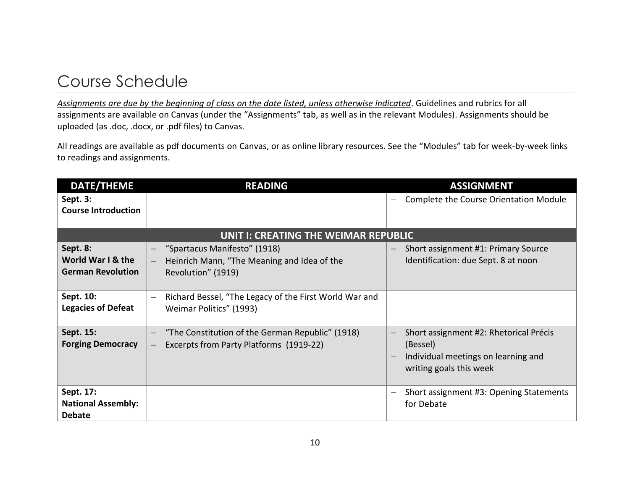## Course Schedule

*Assignments are due by the beginning of class on the date listed, unless otherwise indicated*. Guidelines and rubrics for all assignments are available on Canvas (under the "Assignments" tab, as well as in the relevant Modules). Assignments should be uploaded (as .doc, .docx, or .pdf files) to Canvas.

All readings are available as pdf documents on Canvas, or as online library resources. See the "Modules" tab for week-by-week links to readings and assignments.

| <b>DATE/THEME</b>                                         | <b>READING</b>                                                                                                          | <b>ASSIGNMENT</b>                                                                                                                                |
|-----------------------------------------------------------|-------------------------------------------------------------------------------------------------------------------------|--------------------------------------------------------------------------------------------------------------------------------------------------|
| Sept. 3:                                                  |                                                                                                                         | Complete the Course Orientation Module                                                                                                           |
| <b>Course Introduction</b>                                |                                                                                                                         |                                                                                                                                                  |
|                                                           | UNIT I: CREATING THE WEIMAR REPUBLIC                                                                                    |                                                                                                                                                  |
| Sept. 8:<br>World War I & the<br><b>German Revolution</b> | "Spartacus Manifesto" (1918)<br>Heinrich Mann, "The Meaning and Idea of the<br>$ \,$<br>Revolution" (1919)              | Short assignment #1: Primary Source<br>Identification: due Sept. 8 at noon                                                                       |
| Sept. 10:<br><b>Legacies of Defeat</b>                    | Richard Bessel, "The Legacy of the First World War and<br>Weimar Politics" (1993)                                       |                                                                                                                                                  |
| Sept. 15:<br><b>Forging Democracy</b>                     | "The Constitution of the German Republic" (1918)<br>Excerpts from Party Platforms (1919-22)<br>$\overline{\phantom{0}}$ | Short assignment #2: Rhetorical Précis<br>$\overline{\phantom{0}}$<br>(Bessel)<br>Individual meetings on learning and<br>writing goals this week |
| Sept. 17:<br><b>National Assembly:</b><br><b>Debate</b>   |                                                                                                                         | Short assignment #3: Opening Statements<br>for Debate                                                                                            |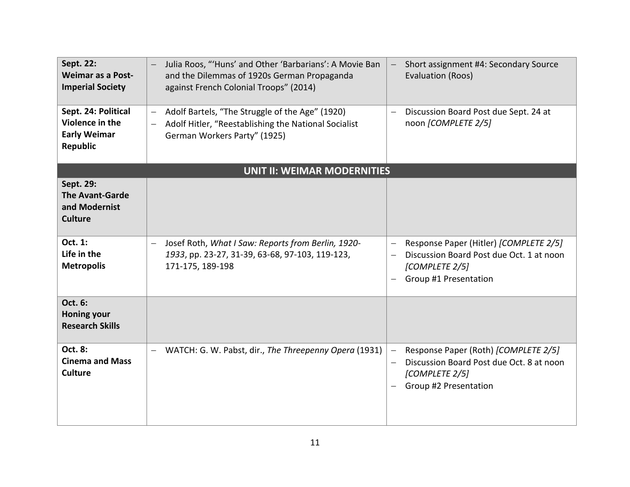| Sept. 22:<br><b>Weimar as a Post-</b><br><b>Imperial Society</b>          | Julia Roos, "'Huns' and Other 'Barbarians': A Movie Ban<br>and the Dilemmas of 1920s German Propaganda<br>against French Colonial Troops" (2014)                                                | Short assignment #4: Secondary Source<br>Evaluation (Roos)                                                                                       |
|---------------------------------------------------------------------------|-------------------------------------------------------------------------------------------------------------------------------------------------------------------------------------------------|--------------------------------------------------------------------------------------------------------------------------------------------------|
| Sept. 24: Political<br>Violence in the<br><b>Early Weimar</b><br>Republic | Adolf Bartels, "The Struggle of the Age" (1920)<br>$\overline{\phantom{m}}$<br>Adolf Hitler, "Reestablishing the National Socialist<br>$\overline{\phantom{m}}$<br>German Workers Party" (1925) | Discussion Board Post due Sept. 24 at<br>$\overline{\phantom{0}}$<br>noon [COMPLETE 2/5]                                                         |
|                                                                           | <b>UNIT II: WEIMAR MODERNITIES</b>                                                                                                                                                              |                                                                                                                                                  |
| Sept. 29:<br><b>The Avant-Garde</b><br>and Modernist<br><b>Culture</b>    |                                                                                                                                                                                                 |                                                                                                                                                  |
| Oct. 1:<br>Life in the<br><b>Metropolis</b>                               | Josef Roth, What I Saw: Reports from Berlin, 1920-<br>$\qquad \qquad -$<br>1933, pp. 23-27, 31-39, 63-68, 97-103, 119-123,<br>171-175, 189-198                                                  | Response Paper (Hitler) [COMPLETE 2/5]<br>Discussion Board Post due Oct. 1 at noon<br>[COMPLETE 2/5]<br>Group #1 Presentation                    |
| Oct. 6:<br><b>Honing your</b><br><b>Research Skills</b>                   |                                                                                                                                                                                                 |                                                                                                                                                  |
| Oct. 8:<br><b>Cinema and Mass</b><br><b>Culture</b>                       | WATCH: G. W. Pabst, dir., The Threepenny Opera (1931)<br>$\overline{\phantom{m}}$                                                                                                               | Response Paper (Roth) [COMPLETE 2/5]<br>$\qquad \qquad -$<br>Discussion Board Post due Oct. 8 at noon<br>[COMPLETE 2/5]<br>Group #2 Presentation |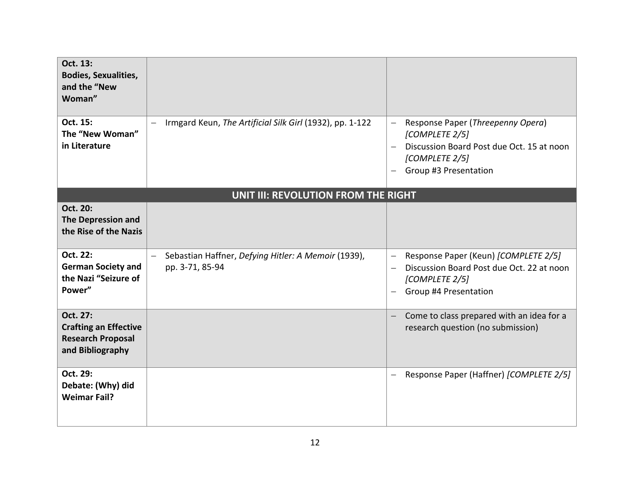| Oct. 13:<br><b>Bodies, Sexualities,</b><br>and the "New<br>Woman"                        |                                                                        |                                                                                                                                                                                      |
|------------------------------------------------------------------------------------------|------------------------------------------------------------------------|--------------------------------------------------------------------------------------------------------------------------------------------------------------------------------------|
| Oct. 15:<br>The "New Woman"<br>in Literature                                             | Irmgard Keun, The Artificial Silk Girl (1932), pp. 1-122               | Response Paper (Threepenny Opera)<br>$\equiv$<br>[COMPLETE 2/5]<br>Discussion Board Post due Oct. 15 at noon<br>$\qquad \qquad -$<br>[COMPLETE 2/5]<br>Group #3 Presentation         |
|                                                                                          | UNIT III: REVOLUTION FROM THE RIGHT                                    |                                                                                                                                                                                      |
| Oct. 20:<br><b>The Depression and</b><br>the Rise of the Nazis                           |                                                                        |                                                                                                                                                                                      |
| Oct. 22:<br><b>German Society and</b><br>the Nazi "Seizure of<br>Power"                  | Sebastian Haffner, Defying Hitler: A Memoir (1939),<br>pp. 3-71, 85-94 | Response Paper (Keun) [COMPLETE 2/5]<br>$\overline{\phantom{0}}$<br>Discussion Board Post due Oct. 22 at noon<br>$\overline{\phantom{0}}$<br>[COMPLETE 2/5]<br>Group #4 Presentation |
| Oct. 27:<br><b>Crafting an Effective</b><br><b>Research Proposal</b><br>and Bibliography |                                                                        | Come to class prepared with an idea for a<br>$\qquad \qquad -$<br>research question (no submission)                                                                                  |
| Oct. 29:<br>Debate: (Why) did<br><b>Weimar Fail?</b>                                     |                                                                        | Response Paper (Haffner) [COMPLETE 2/5]<br>—                                                                                                                                         |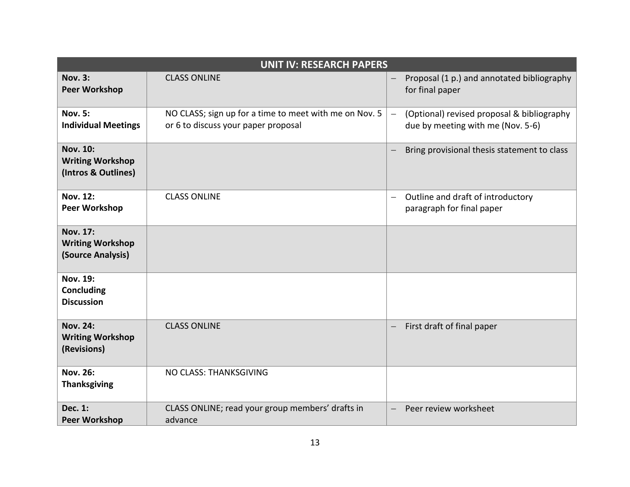| <b>UNIT IV: RESEARCH PAPERS</b>                                   |                                                                                               |                                                                                             |
|-------------------------------------------------------------------|-----------------------------------------------------------------------------------------------|---------------------------------------------------------------------------------------------|
| <b>Nov. 3:</b><br><b>Peer Workshop</b>                            | <b>CLASS ONLINE</b>                                                                           | Proposal (1 p.) and annotated bibliography<br>$\overline{\phantom{m}}$<br>for final paper   |
| <b>Nov. 5:</b><br><b>Individual Meetings</b>                      | NO CLASS; sign up for a time to meet with me on Nov. 5<br>or 6 to discuss your paper proposal | (Optional) revised proposal & bibliography<br>$\equiv$<br>due by meeting with me (Nov. 5-6) |
| <b>Nov. 10:</b><br><b>Writing Workshop</b><br>(Intros & Outlines) |                                                                                               | Bring provisional thesis statement to class                                                 |
| <b>Nov. 12:</b><br><b>Peer Workshop</b>                           | <b>CLASS ONLINE</b>                                                                           | Outline and draft of introductory<br>$\overline{\phantom{m}}$<br>paragraph for final paper  |
| <b>Nov. 17:</b><br><b>Writing Workshop</b><br>(Source Analysis)   |                                                                                               |                                                                                             |
| <b>Nov. 19:</b><br>Concluding<br><b>Discussion</b>                |                                                                                               |                                                                                             |
| <b>Nov. 24:</b><br><b>Writing Workshop</b><br>(Revisions)         | <b>CLASS ONLINE</b>                                                                           | First draft of final paper<br>$\overline{\phantom{m}}$                                      |
| <b>Nov. 26:</b><br><b>Thanksgiving</b>                            | NO CLASS: THANKSGIVING                                                                        |                                                                                             |
| Dec. 1:<br><b>Peer Workshop</b>                                   | CLASS ONLINE; read your group members' drafts in<br>advance                                   | Peer review worksheet                                                                       |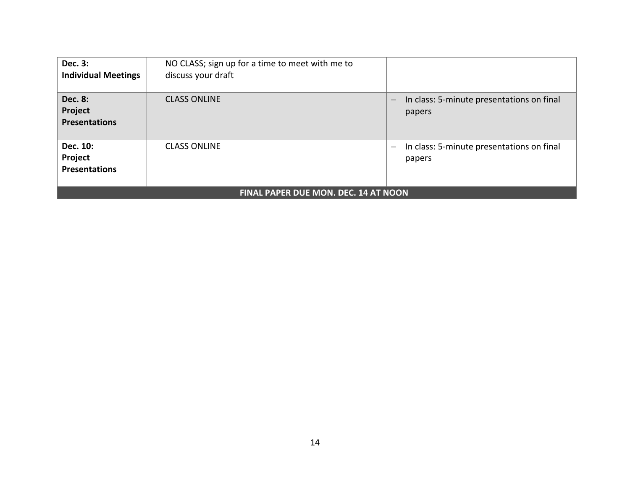| <b>Dec. 3:</b><br><b>Individual Meetings</b>      | NO CLASS; sign up for a time to meet with me to<br>discuss your draft |                                                                          |
|---------------------------------------------------|-----------------------------------------------------------------------|--------------------------------------------------------------------------|
| <b>Dec. 8:</b><br>Project<br><b>Presentations</b> | <b>CLASS ONLINE</b>                                                   | In class: 5-minute presentations on final<br>$\qquad \qquad -$<br>papers |
| Dec. 10:<br>Project<br><b>Presentations</b>       | <b>CLASS ONLINE</b>                                                   | In class: 5-minute presentations on final<br>—<br>papers                 |
| <b>FINAL PAPER DUE MON. DEC. 14 AT NOON</b>       |                                                                       |                                                                          |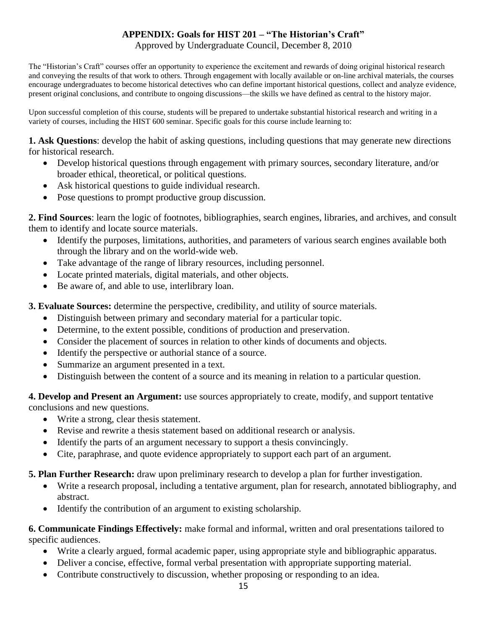#### **APPENDIX: Goals for HIST 201 – "The Historian's Craft"**

Approved by Undergraduate Council, December 8, 2010

The "Historian's Craft" courses offer an opportunity to experience the excitement and rewards of doing original historical research and conveying the results of that work to others. Through engagement with locally available or on-line archival materials, the courses encourage undergraduates to become historical detectives who can define important historical questions, collect and analyze evidence, present original conclusions, and contribute to ongoing discussions—the skills we have defined as central to the history major.

Upon successful completion of this course, students will be prepared to undertake substantial historical research and writing in a variety of courses, including the HIST 600 seminar. Specific goals for this course include learning to:

**1. Ask Questions**: develop the habit of asking questions, including questions that may generate new directions for historical research.

- Develop historical questions through engagement with primary sources, secondary literature, and/or broader ethical, theoretical, or political questions.
- Ask historical questions to guide individual research.
- Pose questions to prompt productive group discussion.

**2. Find Sources**: learn the logic of footnotes, bibliographies, search engines, libraries, and archives, and consult them to identify and locate source materials.

- Identify the purposes, limitations, authorities, and parameters of various search engines available both through the library and on the world-wide web.
- Take advantage of the range of library resources, including personnel.
- Locate printed materials, digital materials, and other objects.
- Be aware of, and able to use, interlibrary loan.

**3. Evaluate Sources:** determine the perspective, credibility, and utility of source materials.

- Distinguish between primary and secondary material for a particular topic.
- Determine, to the extent possible, conditions of production and preservation.
- Consider the placement of sources in relation to other kinds of documents and objects.
- Identify the perspective or authorial stance of a source.
- Summarize an argument presented in a text.
- Distinguish between the content of a source and its meaning in relation to a particular question.

**4. Develop and Present an Argument:** use sources appropriately to create, modify, and support tentative conclusions and new questions.

- Write a strong, clear thesis statement.
- Revise and rewrite a thesis statement based on additional research or analysis.
- Identify the parts of an argument necessary to support a thesis convincingly.
- Cite, paraphrase, and quote evidence appropriately to support each part of an argument.

#### **5. Plan Further Research:** draw upon preliminary research to develop a plan for further investigation.

- Write a research proposal, including a tentative argument, plan for research, annotated bibliography, and abstract.
- Identify the contribution of an argument to existing scholarship.

**6. Communicate Findings Effectively:** make formal and informal, written and oral presentations tailored to specific audiences.

- Write a clearly argued, formal academic paper, using appropriate style and bibliographic apparatus.
- Deliver a concise, effective, formal verbal presentation with appropriate supporting material.
- Contribute constructively to discussion, whether proposing or responding to an idea.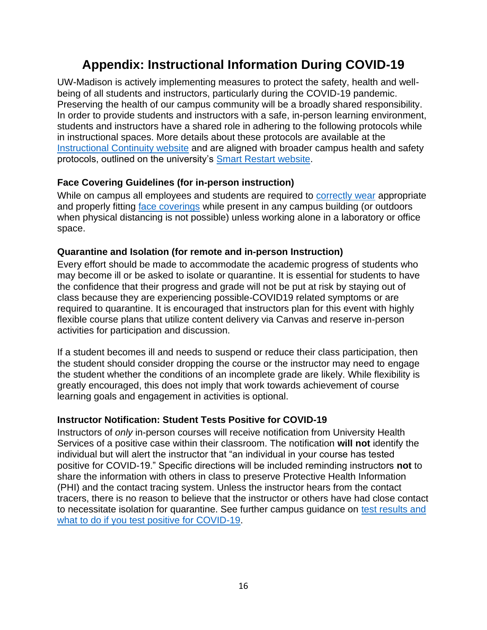#### **Appendix: Instructional Information During COVID-19**

UW-Madison is actively implementing measures to protect the safety, health and wellbeing of all students and instructors, particularly during the COVID-19 pandemic. Preserving the health of our campus community will be a broadly shared responsibility. In order to provide students and instructors with a safe, in-person learning environment, students and instructors have a shared role in adhering to the following protocols while in instructional spaces. More details about these protocols are available at the [Instructional Continuity website](https://instructionalcontinuity.wisc.edu/2020-2021/) and are aligned with broader campus health and safety protocols, outlined on the university's [Smart Restart website.](https://smartrestart.wisc.edu/)

#### **Face Covering Guidelines (for in-person instruction)**

While on campus all employees and students are required to [correctly wear](https://www.cdc.gov/coronavirus/2019-ncov/prevent-getting-sick/how-to-wear-cloth-face-coverings.html) appropriate and properly fitting [face coverings](https://d1cjb8q1w2lzm7.cloudfront.net/wp-content/uploads/sites/22/2020/06/Cloth-face-cover-guidance-06-22-20-final.pdf) while present in any campus building (or outdoors when physical distancing is not possible) unless working alone in a laboratory or office space.

#### **Quarantine and Isolation (for remote and in-person Instruction)**

Every effort should be made to accommodate the academic progress of students who may become ill or be asked to isolate or quarantine. It is essential for students to have the confidence that their progress and grade will not be put at risk by staying out of class because they are experiencing possible-COVID19 related symptoms or are required to quarantine. It is encouraged that instructors plan for this event with highly flexible course plans that utilize content delivery via Canvas and reserve in-person activities for participation and discussion.

If a student becomes ill and needs to suspend or reduce their class participation, then the student should consider dropping the course or the instructor may need to engage the student whether the conditions of an incomplete grade are likely. While flexibility is greatly encouraged, this does not imply that work towards achievement of course learning goals and engagement in activities is optional.

#### **Instructor Notification: Student Tests Positive for COVID-19**

Instructors of *only* in-person courses will receive notification from University Health Services of a positive case within their classroom. The notification **will not** identify the individual but will alert the instructor that "an individual in your course has tested positive for COVID-19." Specific directions will be included reminding instructors **not** to share the information with others in class to preserve Protective Health Information (PHI) and the contact tracing system. Unless the instructor hears from the contact tracers, there is no reason to believe that the instructor or others have had close contact to necessitate isolation for quarantine. See further campus guidance on [test results and](https://www.uhs.wisc.edu/medical/testing/#access-testing)  [what to do if you test positive for COVID-19.](https://www.uhs.wisc.edu/medical/testing/#access-testing)